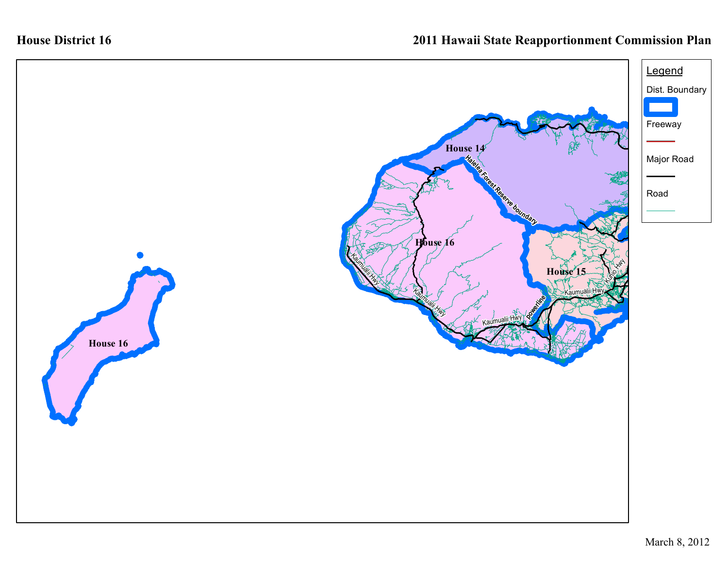